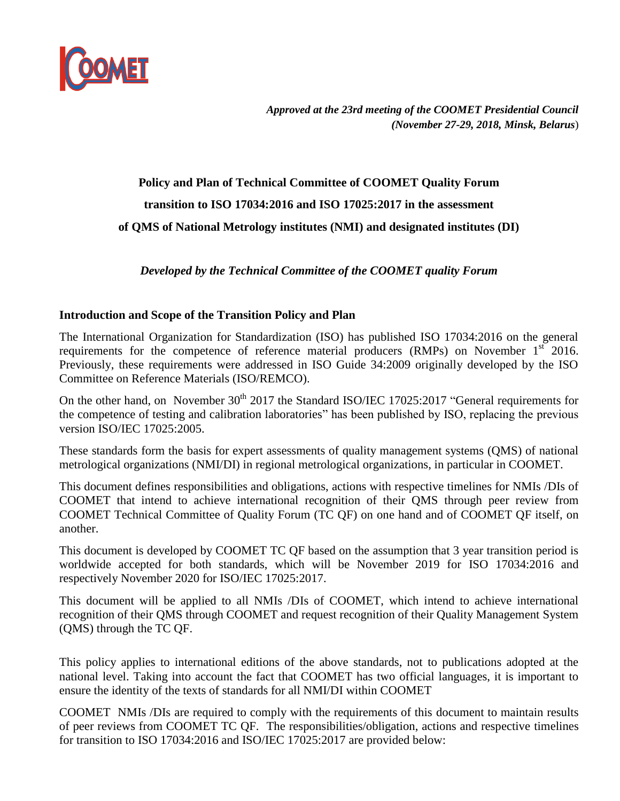

*Approved at the 23rd meeting of the COOMET Presidential Council (November 27-29, 2018, Minsk, Belarus*)

## **Policy and Plan of Technical Committee of COOMET Quality Forum transition to ISO 17034:2016 and ISO 17025:2017 in the assessment of QMS of National Metrology institutes (NMI) and designated institutes (DI)**

*Developed by the Technical Committee of the COOMET quality Forum*

## **Introduction and Scope of the Transition Policy and Plan**

The International Organization for Standardization (ISO) has published ISO 17034:2016 on the general requirements for the competence of reference material producers (RMPs) on November  $1<sup>st</sup>$  2016. Previously, these requirements were addressed in ISO Guide 34:2009 originally developed by the ISO Committee on Reference Materials (ISO/REMCO).

On the other hand, on November  $30<sup>th</sup> 2017$  the Standard ISO/IEC 17025:2017 "General requirements for the competence of testing and calibration laboratories" has been published by ISO, replacing the previous version ISO/IEC 17025:2005.

These standards form the basis for expert assessments of quality management systems (QMS) of national metrological organizations (NMI/DI) in regional metrological organizations, in particular in COOMET.

This document defines responsibilities and obligations, actions with respective timelines for NMIs /DIs of COOMET that intend to achieve international recognition of their QMS through peer review from COOMET Technical Committee of Quality Forum (TC QF) on one hand and of COOMET QF itself, on another.

This document is developed by COOMET TC QF based on the assumption that 3 year transition period is worldwide accepted for both standards, which will be November 2019 for ISO 17034:2016 and respectively November 2020 for ISO/IEC 17025:2017.

This document will be applied to all NMIs /DIs of COOMET, which intend to achieve international recognition of their QMS through COOMET and request recognition of their Quality Management System (QMS) through the TC QF.

This policy applies to international editions of the above standards, not to publications adopted at the national level. Taking into account the fact that COOMET has two official languages, it is important to ensure the identity of the texts of standards for all NMI/DI within COOMET

COOMET NMIs /DIs are required to comply with the requirements of this document to maintain results of peer reviews from COOMET TC QF. The responsibilities/obligation, actions and respective timelines for transition to ISO 17034:2016 and ISO/IEC 17025:2017 are provided below: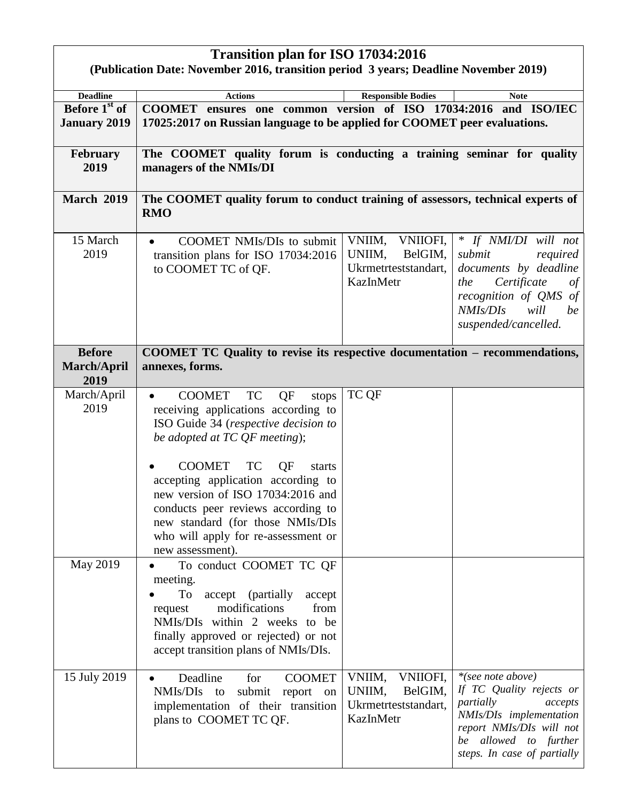| <b>Transition plan for ISO 17034:2016</b><br>(Publication Date: November 2016, transition period 3 years; Deadline November 2019) |                                                                                                                                                                                                                                                                                                                                                                                                                         |                                                                                     |                                                                                                                                                                                      |  |  |  |
|-----------------------------------------------------------------------------------------------------------------------------------|-------------------------------------------------------------------------------------------------------------------------------------------------------------------------------------------------------------------------------------------------------------------------------------------------------------------------------------------------------------------------------------------------------------------------|-------------------------------------------------------------------------------------|--------------------------------------------------------------------------------------------------------------------------------------------------------------------------------------|--|--|--|
| <b>Deadline</b><br>Before 1 <sup>st</sup> of                                                                                      | <b>Actions</b><br>COOMET ensures one common version of ISO 17034:2016 and ISO/IEC                                                                                                                                                                                                                                                                                                                                       | <b>Responsible Bodies</b>                                                           | <b>Note</b>                                                                                                                                                                          |  |  |  |
| <b>January 2019</b>                                                                                                               | 17025:2017 on Russian language to be applied for COOMET peer evaluations.                                                                                                                                                                                                                                                                                                                                               |                                                                                     |                                                                                                                                                                                      |  |  |  |
| <b>February</b><br>2019                                                                                                           | The COOMET quality forum is conducting a training seminar for quality<br>managers of the NMIs/DI                                                                                                                                                                                                                                                                                                                        |                                                                                     |                                                                                                                                                                                      |  |  |  |
| <b>March 2019</b>                                                                                                                 | The COOMET quality forum to conduct training of assessors, technical experts of<br><b>RMO</b>                                                                                                                                                                                                                                                                                                                           |                                                                                     |                                                                                                                                                                                      |  |  |  |
| 15 March<br>2019                                                                                                                  | <b>COOMET NMIs/DIs to submit</b><br>transition plans for ISO 17034:2016<br>to COOMET TC of QF.                                                                                                                                                                                                                                                                                                                          | <b>VNIIOFI,</b><br>VNIIM,<br>UNIIM,<br>BelGIM,<br>Ukrmetrteststandart,<br>KazInMetr | * If NMI/DI will not<br>submit<br>required<br>documents by deadline<br>Certificate<br>the<br>of<br>recognition of QMS of<br>NMIS/DIs<br>will<br>be<br>suspended/cancelled.           |  |  |  |
| <b>Before</b><br><b>March/April</b><br>2019                                                                                       | COOMET TC Quality to revise its respective documentation – recommendations,<br>annexes, forms.                                                                                                                                                                                                                                                                                                                          |                                                                                     |                                                                                                                                                                                      |  |  |  |
| March/April<br>2019                                                                                                               | <b>COOMET</b><br><b>TC</b><br>QF<br>stops<br>receiving applications according to<br>ISO Guide 34 (respective decision to<br>be adopted at TC QF meeting);<br><b>COOMET</b><br><b>TC</b><br>QF<br>starts<br>accepting application according to<br>new version of ISO 17034:2016 and<br>conducts peer reviews according to<br>new standard (for those NMIs/DIs<br>who will apply for re-assessment or<br>new assessment). | TC QF                                                                               |                                                                                                                                                                                      |  |  |  |
| May 2019                                                                                                                          | To conduct COOMET TC QF<br>meeting.<br>To<br>accept (partially<br>accept<br>modifications<br>from<br>request<br>NMIs/DIs within 2 weeks to be<br>finally approved or rejected) or not<br>accept transition plans of NMIs/DIs.                                                                                                                                                                                           |                                                                                     |                                                                                                                                                                                      |  |  |  |
| 15 July 2019                                                                                                                      | Deadline<br>for<br><b>COOMET</b><br>NMIs/DIs<br>submit<br>to<br>report on<br>implementation of their transition<br>plans to COOMET TC QF.                                                                                                                                                                                                                                                                               | VNIIM,<br>VNIIOFI,<br>UNIIM,<br>BelGIM,<br>Ukrmetrteststandart,<br>KazInMetr        | *(see note above)<br>If TC Quality rejects or<br>partially<br>accepts<br>NMIs/DIs implementation<br>report NMIs/DIs will not<br>be allowed to further<br>steps. In case of partially |  |  |  |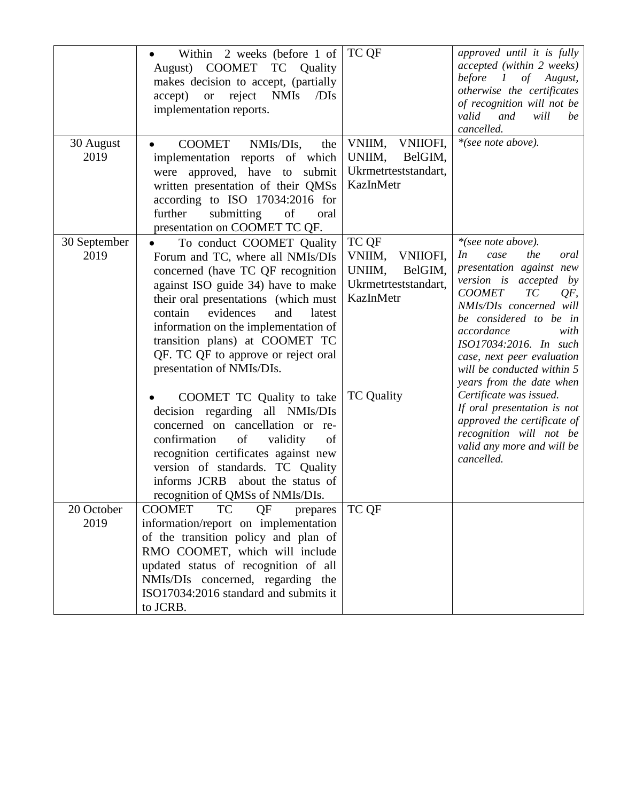|                      | Within 2 weeks (before 1 of<br>August) COOMET<br>TC Quality<br>makes decision to accept, (partially<br>accept)<br>reject<br><b>NMIs</b><br>/DIs<br><b>or</b><br>implementation reports.                                                                                                                                                                                                              | TC QF                                                                                                      | approved until it is fully<br>accepted (within 2 weeks)<br>before 1 of August,<br>otherwise the certificates<br>of recognition will not be<br>valid<br>and<br>will<br>be<br>cancelled.                                                                                                                                                                      |
|----------------------|------------------------------------------------------------------------------------------------------------------------------------------------------------------------------------------------------------------------------------------------------------------------------------------------------------------------------------------------------------------------------------------------------|------------------------------------------------------------------------------------------------------------|-------------------------------------------------------------------------------------------------------------------------------------------------------------------------------------------------------------------------------------------------------------------------------------------------------------------------------------------------------------|
| 30 August<br>2019    | <b>COOMET</b><br>NMIs/DIs,<br>the<br>implementation reports of which<br>were approved, have to submit<br>written presentation of their QMSs<br>according to ISO 17034:2016 for<br>submitting<br>further<br>of<br>oral<br>presentation on COOMET TC QF.                                                                                                                                               | VNIIM,<br>VNIIOFI,<br>UNIIM,<br>BelGIM,<br>Ukrmetrteststandart,<br>KazInMetr                               | *(see note above).                                                                                                                                                                                                                                                                                                                                          |
| 30 September<br>2019 | To conduct COOMET Quality<br>Forum and TC, where all NMIs/DIs<br>concerned (have TC QF recognition<br>against ISO guide 34) have to make<br>their oral presentations (which must<br>contain<br>evidences<br>and<br>latest<br>information on the implementation of<br>transition plans) at COOMET TC<br>QF. TC QF to approve or reject oral<br>presentation of NMIs/DIs.<br>COOMET TC Quality to take | TC QF<br>VNIIM,<br>VNIIOFI,<br>BelGIM,<br>UNIIM,<br>Ukrmetrteststandart,<br>KazInMetr<br><b>TC</b> Quality | *(see note above).<br>the<br>In<br>case<br>oral<br>presentation against new<br>version is accepted by<br><b>COOMET</b><br>TC<br>QF,<br>NMIs/DIs concerned will<br>be considered to be in<br>accordance<br>with<br>ISO17034:2016. In such<br>case, next peer evaluation<br>will be conducted within 5<br>years from the date when<br>Certificate was issued. |
|                      | decision regarding all NMIs/DIs<br>concerned on cancellation or re-<br>confirmation<br>of<br>validity<br>of<br>recognition certificates against new<br>version of standards. TC Quality<br>informs JCRB about the status of<br>recognition of QMSs of NMIs/DIs.                                                                                                                                      |                                                                                                            | If oral presentation is not<br>approved the certificate of<br>recognition will not be<br>valid any more and will be<br>cancelled.                                                                                                                                                                                                                           |
| 20 October<br>2019   | <b>TC</b><br>QF<br><b>COOMET</b><br>prepares<br>information/report on implementation<br>of the transition policy and plan of<br>RMO COOMET, which will include<br>updated status of recognition of all<br>NMIs/DIs concerned, regarding the<br>ISO17034:2016 standard and submits it<br>to JCRB.                                                                                                     | TC QF                                                                                                      |                                                                                                                                                                                                                                                                                                                                                             |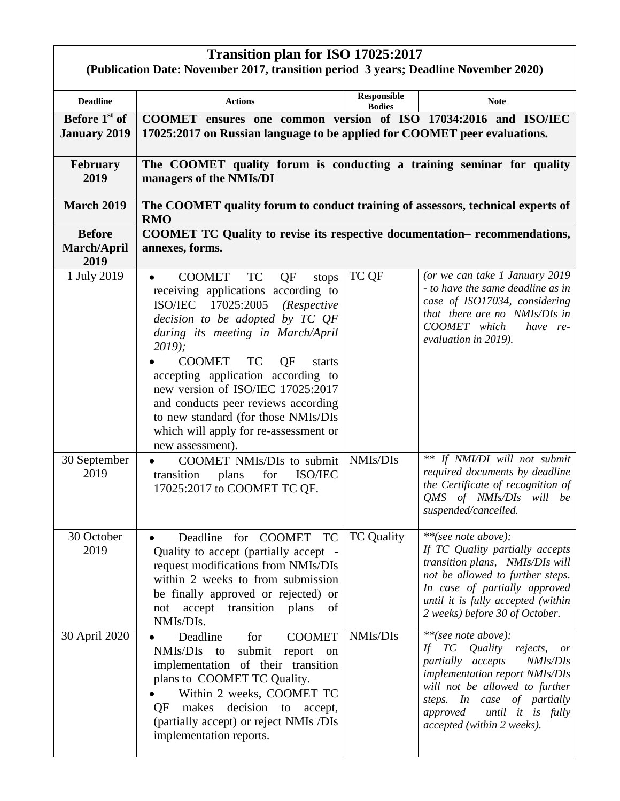## **Transition plan for ISO 17025:2017**

| 1.44<br>(Publication Date: November 2017, transition period 3 years; Deadline November 2020) |                                                                                                                                                                                                                                                                                                                                                                                                                                                                            |                                     |                                                                                                                                                                                                                                                                 |  |  |
|----------------------------------------------------------------------------------------------|----------------------------------------------------------------------------------------------------------------------------------------------------------------------------------------------------------------------------------------------------------------------------------------------------------------------------------------------------------------------------------------------------------------------------------------------------------------------------|-------------------------------------|-----------------------------------------------------------------------------------------------------------------------------------------------------------------------------------------------------------------------------------------------------------------|--|--|
| <b>Deadline</b>                                                                              | <b>Actions</b>                                                                                                                                                                                                                                                                                                                                                                                                                                                             | <b>Responsible</b><br><b>Bodies</b> | <b>Note</b>                                                                                                                                                                                                                                                     |  |  |
| Before 1 <sup>st</sup> of<br><b>January 2019</b>                                             | COOMET ensures one common version of ISO 17034:2016 and ISO/IEC<br>17025:2017 on Russian language to be applied for COOMET peer evaluations.                                                                                                                                                                                                                                                                                                                               |                                     |                                                                                                                                                                                                                                                                 |  |  |
| <b>February</b><br>2019                                                                      | The COOMET quality forum is conducting a training seminar for quality<br>managers of the NMIs/DI                                                                                                                                                                                                                                                                                                                                                                           |                                     |                                                                                                                                                                                                                                                                 |  |  |
| <b>March 2019</b>                                                                            | The COOMET quality forum to conduct training of assessors, technical experts of<br><b>RMO</b>                                                                                                                                                                                                                                                                                                                                                                              |                                     |                                                                                                                                                                                                                                                                 |  |  |
| <b>Before</b><br><b>March/April</b><br>2019                                                  | COOMET TC Quality to revise its respective documentation-recommendations,<br>annexes, forms.                                                                                                                                                                                                                                                                                                                                                                               |                                     |                                                                                                                                                                                                                                                                 |  |  |
| 1 July 2019                                                                                  | <b>TC</b><br>QF<br><b>COOMET</b><br>stops<br>receiving applications according to<br>ISO/IEC 17025:2005<br>(Respective<br>decision to be adopted by TC QF<br>during its meeting in March/April<br>2019;<br><b>COOMET</b><br><b>TC</b><br>QF<br>starts<br>accepting application according to<br>new version of ISO/IEC 17025:2017<br>and conducts peer reviews according<br>to new standard (for those NMIs/DIs<br>which will apply for re-assessment or<br>new assessment). | TC QF                               | (or we can take 1 January 2019<br>- to have the same deadline as in<br>case of ISO17034, considering<br>that there are no NMIs/DIs in<br>COOMET which<br>have re-<br>evaluation in 2019).                                                                       |  |  |
| 30 September<br>2019                                                                         | COOMET NMIs/DIs to submit<br>transition<br>ISO/IEC<br>for<br>plans<br>17025:2017 to COOMET TC QF.                                                                                                                                                                                                                                                                                                                                                                          | NMIs/DIs                            | ** If NMI/DI will not submit<br>required documents by deadline<br>the Certificate of recognition of<br>QMS of NMIs/DIs will be<br>suspended/cancelled.                                                                                                          |  |  |
| 30 October<br>2019                                                                           | Deadline for COOMET TC<br>Quality to accept (partially accept -<br>request modifications from NMIs/DIs<br>within 2 weeks to from submission<br>be finally approved or rejected) or<br>accept transition plans<br>not<br>of<br>NMIs/DIs.                                                                                                                                                                                                                                    | <b>TC Quality</b>                   | **(see note above);<br>If TC Quality partially accepts<br>transition plans, NMIs/DIs will<br>not be allowed to further steps.<br>In case of partially approved<br>until it is fully accepted (within<br>2 weeks) before 30 of October.                          |  |  |
| 30 April 2020                                                                                | for<br><b>COOMET</b><br>Deadline<br>NMIs/DIs<br>submit report on<br>to<br>implementation of their transition<br>plans to COOMET TC Quality.<br>Within 2 weeks, COOMET TC<br>decision<br>QF<br>makes<br>to<br>accept,<br>(partially accept) or reject NMIs /DIs<br>implementation reports.                                                                                                                                                                                  | NMIs/DIs                            | **(see note above);<br>Quality<br>rejects,<br>If<br>TC<br>or<br>NMIs/DIs<br>partially accepts<br>implementation report NMIs/DIs<br>will not be allowed to further<br>steps. In case of partially<br>until it is fully<br>approved<br>accepted (within 2 weeks). |  |  |